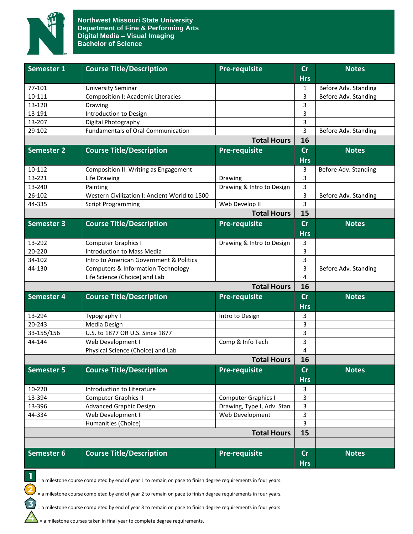

| Semester 1         | <b>Course Title/Description</b>               | <b>Pre-requisite</b>       | cr         | <b>Notes</b>         |
|--------------------|-----------------------------------------------|----------------------------|------------|----------------------|
|                    |                                               |                            | <b>Hrs</b> |                      |
| 77-101             | <b>University Seminar</b>                     |                            | 1          | Before Adv. Standing |
| 10-111             | <b>Composition I: Academic Literacies</b>     |                            | 3          | Before Adv. Standing |
| 13-120             | Drawing                                       |                            | 3          |                      |
| 13-191             | Introduction to Design                        |                            | 3          |                      |
| 13-207             | Digital Photography                           |                            | 3          |                      |
| 29-102             | <b>Fundamentals of Oral Communication</b>     |                            | 3          | Before Adv. Standing |
| <b>Total Hours</b> |                                               |                            | 16         |                      |
| <b>Semester 2</b>  | <b>Course Title/Description</b>               | Pre-requisite              | cr         | <b>Notes</b>         |
|                    |                                               |                            | <b>Hrs</b> |                      |
| 10-112             | Composition II: Writing as Engagement         |                            | 3          | Before Adv. Standing |
| 13-221             | Life Drawing                                  | Drawing                    | 3          |                      |
| 13-240             | Painting                                      | Drawing & Intro to Design  | 3          |                      |
| 26-102             | Western Civilization I: Ancient World to 1500 |                            | 3          | Before Adv. Standing |
| 44-335             | <b>Script Programming</b>                     | Web Develop II             | 3          |                      |
| <b>Total Hours</b> |                                               |                            |            |                      |
| <b>Semester 3</b>  | <b>Course Title/Description</b>               | <b>Pre-requisite</b>       | cr         | <b>Notes</b>         |
|                    |                                               |                            | <b>Hrs</b> |                      |
| 13-292             | <b>Computer Graphics I</b>                    | Drawing & Intro to Design  | 3          |                      |
| 20-220             | Introduction to Mass Media                    |                            | 3          |                      |
| 34-102             | Intro to American Government & Politics       |                            | 3          |                      |
| 44-130             | <b>Computers &amp; Information Technology</b> |                            | 3          | Before Adv. Standing |
|                    | Life Science (Choice) and Lab                 |                            | 4          |                      |
| <b>Total Hours</b> |                                               |                            | 16         |                      |
| <b>Semester 4</b>  | <b>Course Title/Description</b>               | <b>Pre-requisite</b>       | cr         | <b>Notes</b>         |
|                    |                                               |                            | <b>Hrs</b> |                      |
| 13-294             | Typography I                                  | Intro to Design            | 3          |                      |
| 20-243             | Media Design                                  |                            | 3          |                      |
| 33-155/156         | U.S. to 1877 OR U.S. Since 1877               |                            | 3          |                      |
| 44-144             | Web Development I                             | Comp & Info Tech           | 3          |                      |
|                    | Physical Science (Choice) and Lab             |                            | 4          |                      |
| <b>Total Hours</b> |                                               |                            | 16         |                      |
| <b>Semester 5</b>  | <b>Course Title/Description</b>               | <b>Pre-requisite</b>       | cr         | <b>Notes</b>         |
|                    |                                               |                            | <b>Hrs</b> |                      |
| 10-220             | Introduction to Literature                    |                            | 3          |                      |
| 13-394             | <b>Computer Graphics II</b>                   | <b>Computer Graphics I</b> | 3          |                      |
| 13-396             | <b>Advanced Graphic Design</b>                | Drawing, Type I, Adv. Stan | 3          |                      |
| 44-334             | Web Development II                            | Web Development            | 3          |                      |
|                    | Humanities (Choice)                           |                            | 3          |                      |
|                    |                                               | <b>Total Hours</b>         | 15         |                      |
|                    |                                               |                            |            |                      |
| Semester 6         | <b>Course Title/Description</b>               | Pre-requisite              | cr         | <b>Notes</b>         |
|                    |                                               |                            | <b>Hrs</b> |                      |
|                    |                                               |                            |            |                      |

 $\blacksquare$  = a milestone course completed by end of year 1 to remain on pace to finish degree requirements in four years.

= a milestone course completed by end of year 2 to remain on pace to finish degree requirements in four years.

= a milestone course completed by end of year 3 to remain on pace to finish degree requirements in four years.

 $\sum$  = a milestone courses taken in final year to complete degree requirements.

2

 $\mathbf{3}$